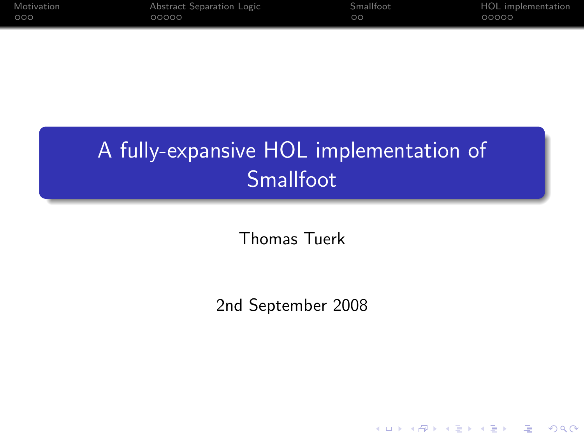| Motivation | Abstract Separation Logic | <b>Smallfoot</b> | HOL implementation |
|------------|---------------------------|------------------|--------------------|
| 000        | ೧೧೧೧೧                     | ാറ               | 00000              |

# A fully-expansive HOL implementation of Smallfoot

Thomas Tuerk

2nd September 2008

K ロ ▶ K @ ▶ K 할 > K 할 > 1 할 > 1 이익어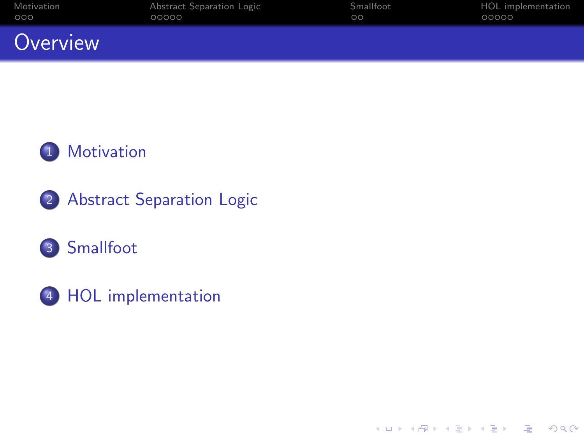| Motivation | Abstract Separation Logic | Smallfoot | HOL implementation |
|------------|---------------------------|-----------|--------------------|
| 000        | 00000                     | $\circ$   | 00000              |
| Overview   |                           |           |                    |

K ロ ▶ K @ ▶ K 할 ▶ K 할 ▶ | 할 | X 9 Q Q



- 2 [Abstract Separation Logic](#page-5-0)
- 3 [Smallfoot](#page-10-0)
- 4 [HOL implementation](#page-12-0)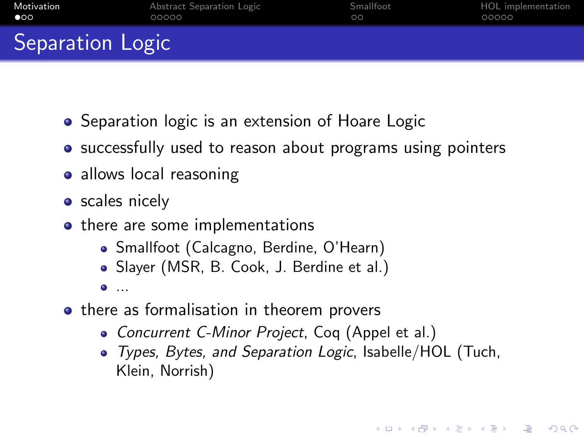| Motivation       | Abstract Separation Logic | Smallfoot | HOL implementation |
|------------------|---------------------------|-----------|--------------------|
| $\bullet$        | 00000                     | ററ        | 00000              |
| Separation Logic |                           |           |                    |

- Separation logic is an extension of Hoare Logic
- successfully used to reason about programs using pointers
- allows local reasoning
- **•** scales nicely
- there are some implementations
	- Smallfoot (Calcagno, Berdine, O'Hearn)
	- Slayer (MSR, B. Cook, J. Berdine et al.)
	- $\bullet$  ...
- <span id="page-2-0"></span>• there as formalisation in theorem provers
	- Concurrent C-Minor Project, Coq (Appel et al.)
	- Types, Bytes, and Separation Logic, Isabelle/HOL (Tuch, Klein, Norrish)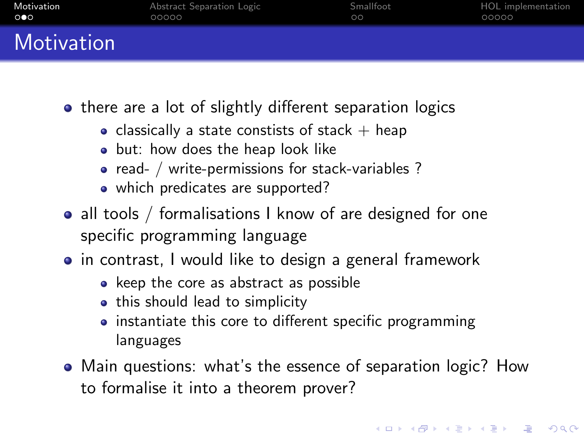| Motivation | Abstract Separation Logic | Smallfoot | HOL implementation |
|------------|---------------------------|-----------|--------------------|
| 000        | 00000                     | $\circ$   | 00000              |
| Motivation |                           |           |                    |

- there are a lot of slightly different separation logics
	- classically a state constists of stack  $+$  heap
	- but: how does the heap look like
	- read- / write-permissions for stack-variables ?
	- which predicates are supported?
- all tools / formalisations I know of are designed for one specific programming language
- in contrast, I would like to design a general framework
	- keep the core as abstract as possible
	- this should lead to simplicity
	- instantiate this core to different specific programming languages
- Main questions: what's the essence of separation logic? How to formalise it into a theorem prover?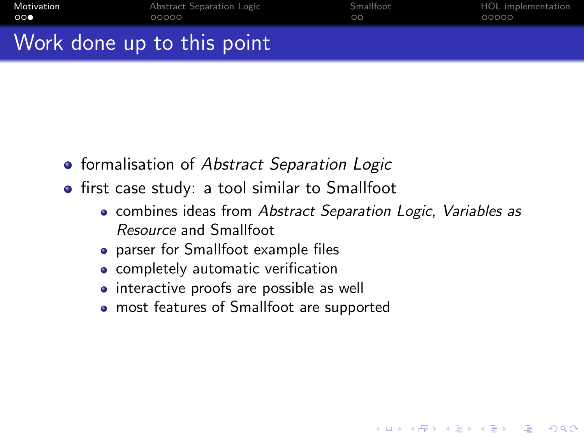| Motivation | Abstract Separation Logic | Smallfoot | HOL implementation |
|------------|---------------------------|-----------|--------------------|
| ററ         | 00000                     |           | 00000              |
| <b>A</b>   |                           |           |                    |

## Work done up to this point

- **•** formalisation of Abstract Separation Logic
- **•** first case study: a tool similar to Smallfoot
	- combines ideas from Abstract Separation Logic, Variables as Resource and Smallfoot

**KORK ERKER ER AGA** 

- parser for Smallfoot example files
- **•** completely automatic verification
- interactive proofs are possible as well
- most features of Smallfoot are supported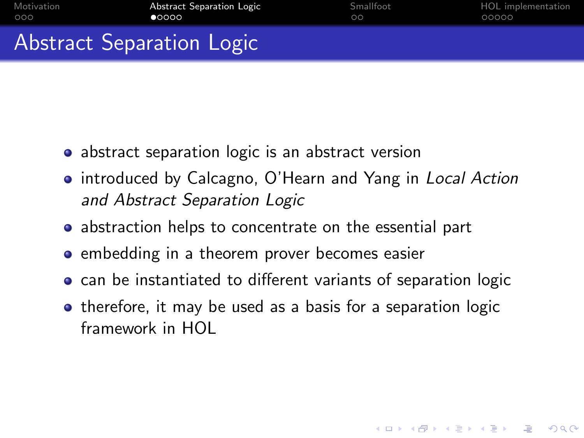| Motivation | Abstract Separation Logic | Smallfoot | HOL implementation |
|------------|---------------------------|-----------|--------------------|
| 000        | റെററ                      | ററ        | 00000              |
|            | Abstract Separation Logic |           |                    |

- abstract separation logic is an abstract version
- introduced by Calcagno, O'Hearn and Yang in Local Action and Abstract Separation Logic
- abstraction helps to concentrate on the essential part
- **•** embedding in a theorem prover becomes easier
- can be instantiated to different variants of separation logic
- <span id="page-5-0"></span>• therefore, it may be used as a basis for a separation logic framework in HOL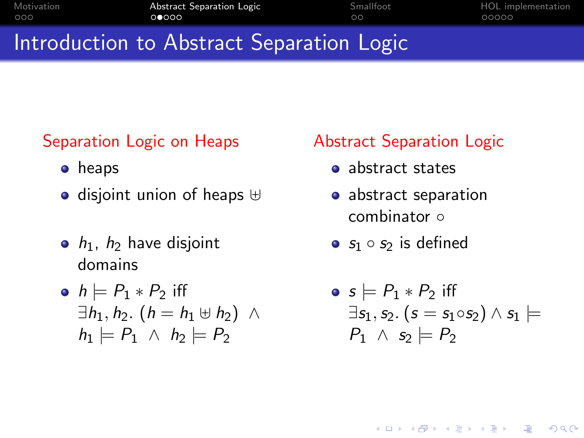| Motivation | <b>Abstract Separation Logic</b>                                                                              | Smallfoot | HOL implementation |
|------------|---------------------------------------------------------------------------------------------------------------|-----------|--------------------|
| OOO.       | 00000                                                                                                         | ററ        | 00000              |
|            | dia nombre de la ciudad de la contrata de la califación de la califación de la califación de la califación de |           |                    |

## Introduction to Abstract Separation Logic

### Separation Logic on Heaps

- **•** heaps
- $\bullet$  disjoint union of heaps  $\uplus$
- $\bullet$   $h_1$ ,  $h_2$  have disjoint domains

• 
$$
h \models P_1 * P_2
$$
 iff  
\n $\exists h_1, h_2. (h = h_1 \uplus h_2) \land$   
\n $h_1 \models P_1 \land h_2 \models P_2$ 

### Abstract Separation Logic

- abstract states
- o abstract separation combinator ∘
- $s_1 \circ s_2$  is defined

• 
$$
s \models P_1 * P_2
$$
 iff  
\n $\exists s_1, s_2. (s = s_1 \circ s_2) \land s_1 \models$   
\n $P_1 \land s_2 \models P_2$ 

**KORK EX KEY KEY YOUR**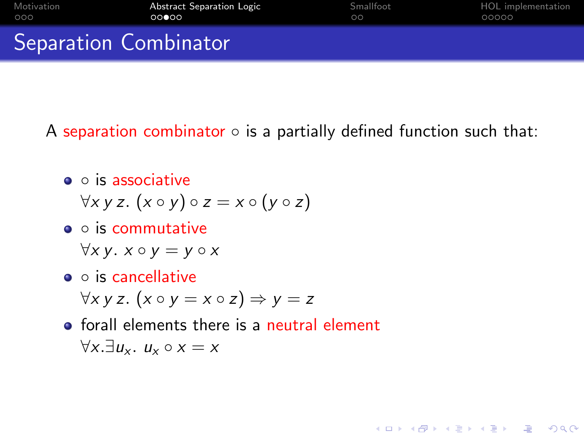| Motivation                   | Abstract Separation Logic | Smallfoot | HOL implementation |
|------------------------------|---------------------------|-----------|--------------------|
| റററ                          | 00000                     | $\circ$   | 00000              |
| <b>Separation Combinator</b> |                           |           |                    |

A separation combinator  $\circ$  is a partially defined function such that:

**AD A REAKEN E VAN** 

- $\bullet$   $\circ$  is associative
	- $\forall x \vee z.$   $(x \circ y) \circ z = x \circ (y \circ z)$
- o is commutative

 $\forall x \, y. \; x \circ y = y \circ x$ 

- o is cancellative  $\forall x \, y \, z.$   $(x \circ y = x \circ z) \Rightarrow y = z$
- **o** forall elements there is a neutral element  $\forall x. \exists u_x. u_x \circ x = x$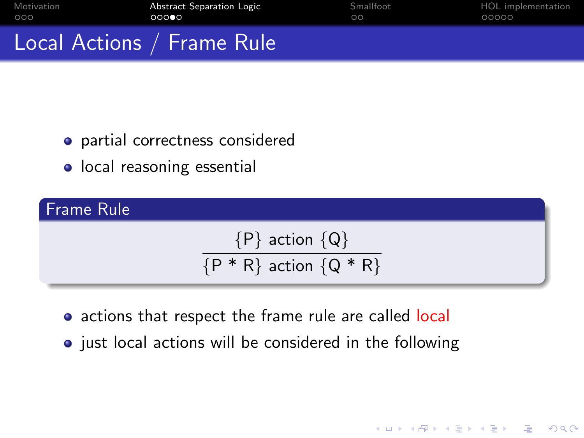| Motivation                 | Abstract Separation Logic | Smallfoot | HOL implementation |
|----------------------------|---------------------------|-----------|--------------------|
| റററ                        | 00000                     | $\circ$   | 00000              |
| Local Actions / Frame Rule |                           |           |                    |

- partial correctness considered
- local reasoning essential

Frame Rule

# ${P}$  action  ${Q}$  $\overline{P * R}$  action  $\{Q * R\}$

- actions that respect the frame rule are called local
- just local actions will be considered in the following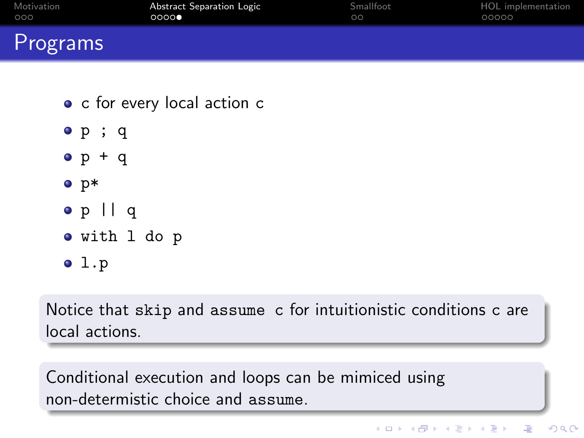| Motivation | Abstract Separation Logic | Smallfoot | HOL implementation |
|------------|---------------------------|-----------|--------------------|
| 000        | 0000                      | $\circ$   | 00000              |
| Programs   |                           |           |                    |

- c for every local action c
- p ; q
- $o p + q$
- $\bullet$  p\*
- p || q
- with l do p
- $01.p$

Notice that skip and assume c for intuitionistic conditions c are local actions.

Conditional execution and loops can be mimiced using non-determistic choice and assume.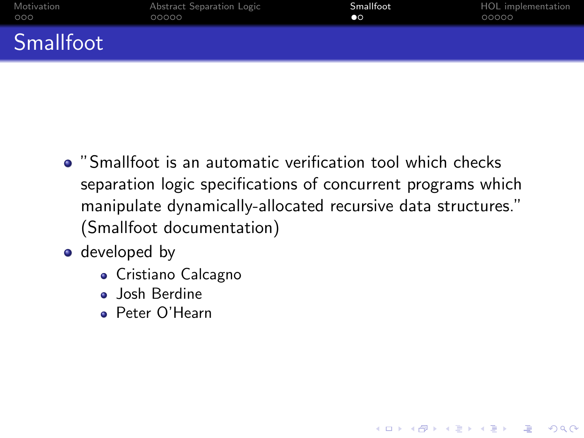| Motivation       | Abstract Separation Logic | Smallfoot | HOL implementation |
|------------------|---------------------------|-----------|--------------------|
| 000              | 00000                     | $\bullet$ | 00000              |
| <b>Smallfoot</b> |                           |           |                    |

"Smallfoot is an automatic verification tool which checks separation logic specifications of concurrent programs which manipulate dynamically-allocated recursive data structures." (Smallfoot documentation)

- <span id="page-10-0"></span>• developed by
	- Cristiano Calcagno
	- **Josh Berdine**
	- Peter O'Hearn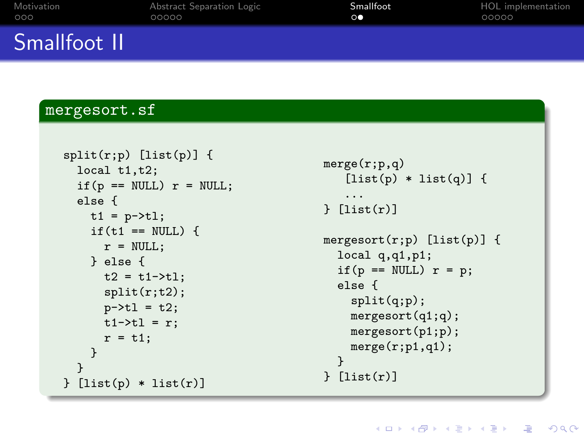| Motivation   | Abstract Separation Logic | Smallfoot      | HOL implementation |
|--------------|---------------------------|----------------|--------------------|
| 000          | COOOO                     | $\circ\bullet$ | 00000              |
| Smallfoot II |                           |                |                    |

#### mergesort.sf

```
split(r;p) [list(p)] {
  local t1,t2;
  if(p == NULL) r = NULL;else {
    t1 = p - \frac{t}{t};if(t1 == NULL) {
      r = NULL;} else {
      t2 = t1 - \frac{1}{1};
      split(r;t2);
      p - > t1 = t2;
      t1-\geq t1 = r:
      r = t1:
    }
  }
[list(p) * list(r)]
```

```
merge(r;p,q)
   [iist(p) * list(q)] {
   ...
[list(r)]mergesort(r;p) [list(p)] {
 local q,q1,p1;
  if(p == NULL) r = p;
 else {
    split(q;p);
   mergesort(q1;q);
   mergesort(p1;p);
   merge(r;p1,q1);}
} [list(r)]
```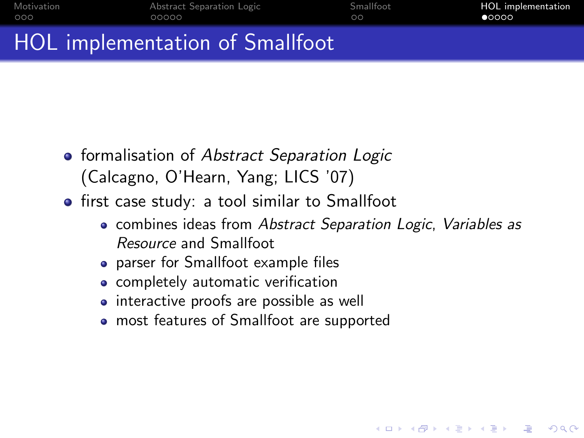| Motivation | Abstract Separation Logic       | Smallfoot | HOL implementation |
|------------|---------------------------------|-----------|--------------------|
| 000        | 00000                           | ററ        | 00000              |
|            | HOL implementation of Smallfoot |           |                    |

- **•** formalisation of Abstract Separation Logic (Calcagno, O'Hearn, Yang; LICS '07)
	- **•** first case study: a tool similar to Smallfoot
		- combines ideas from Abstract Separation Logic, Variables as Resource and Smallfoot

**KORK ERKER ER AGA** 

- parser for Smallfoot example files
- **•** completely automatic verification
- interactive proofs are possible as well
- <span id="page-12-0"></span>most features of Smallfoot are supported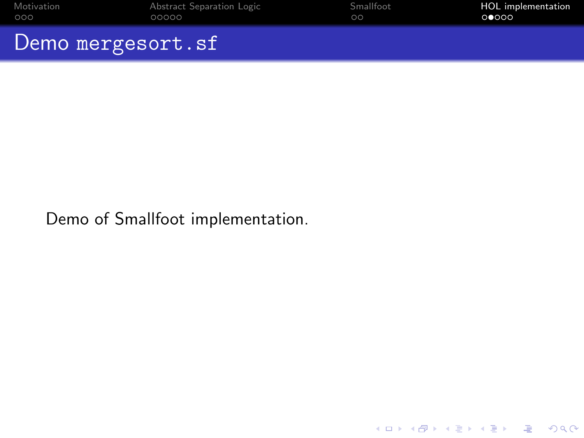| Motivation        | Abstract Separation Logic | Smallfoot | <b>HOL</b> implementation |
|-------------------|---------------------------|-----------|---------------------------|
| റററ               | 00000                     | ററ        | 00000                     |
| Demo mergesort.sf |                           |           |                           |

K ロ ▶ K @ ▶ K 할 ▶ K 할 ▶ | 할 | 2000

Demo of Smallfoot implementation.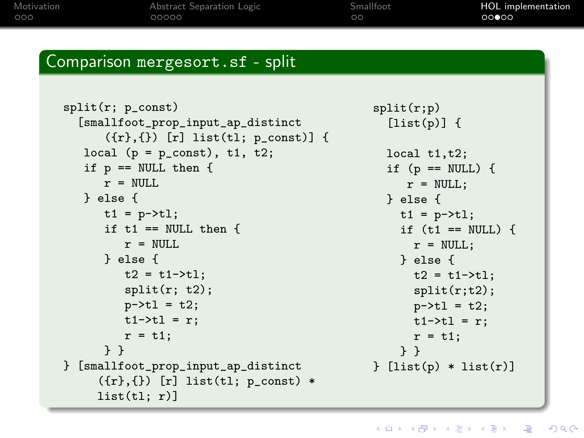[Motivation](#page-2-0) **[Abstract Separation Logic](#page-5-0)** [Smallfoot](#page-10-0) **[HOL implementation](#page-12-0)**<br>
000<br>
00000 00000 00000 00000 00000 00000

#### Comparison mergesort.sf - split

```
split(r; p_const)
  [smallfoot_prop_input_ap_distinct
      ({r},({}) [r] list(tl; p_const)] {
   local (p = p_{const}), t1, t2;
   if p == NULL then {
      r = NULL.
   } else {
      t1 = p - \ge t1;
      if t1 == NULL then {
         r = NULL} else {
         t2 = t1 - \frac{t}{1}split(r; t2);p - > t1 = t2;t1-\geq t1 = r:
         r = t1:
      } }
} [smallfoot_prop_input_ap_distinct
     ({r}, {}_{t}) [r] list(tl; p_const) *
     list(t1; r)]
```

```
split(r;p)
  [list(p)] {
  local t1,t2;
  if (p == NULL) {
     r = NULL:
  } else {
    t1 = p - \ge t1;
    if (t1 == NULL) {
      r = NULL:
    } else {
      t2 = t1 - \frac{1}{1};
      split(r;t2);p - > t1 = t2;t1-\t>b1 = r;
      r = t1:
    } }
[list(p) * list(r)]
```
**KOD KAR KED KED E YAN**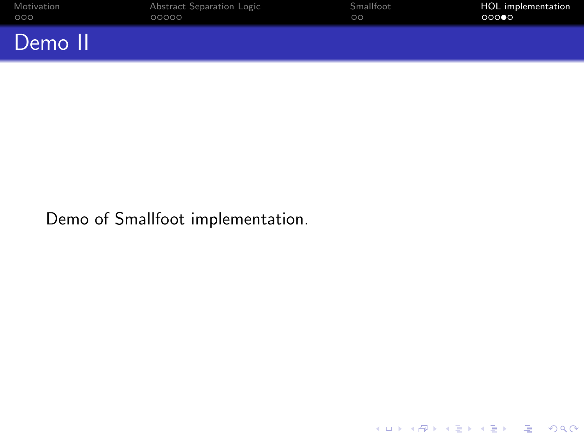| Motivation | Abstract Separation Logic | Smallfoot | <b>HOL</b> implementation |
|------------|---------------------------|-----------|---------------------------|
| 000        | 00000                     | $\circ$   | 000                       |
| Demo II    |                           |           |                           |

K ロ ▶ K @ ▶ K 할 ▶ K 할 ▶ | 할 | 2000

Demo of Smallfoot implementation.